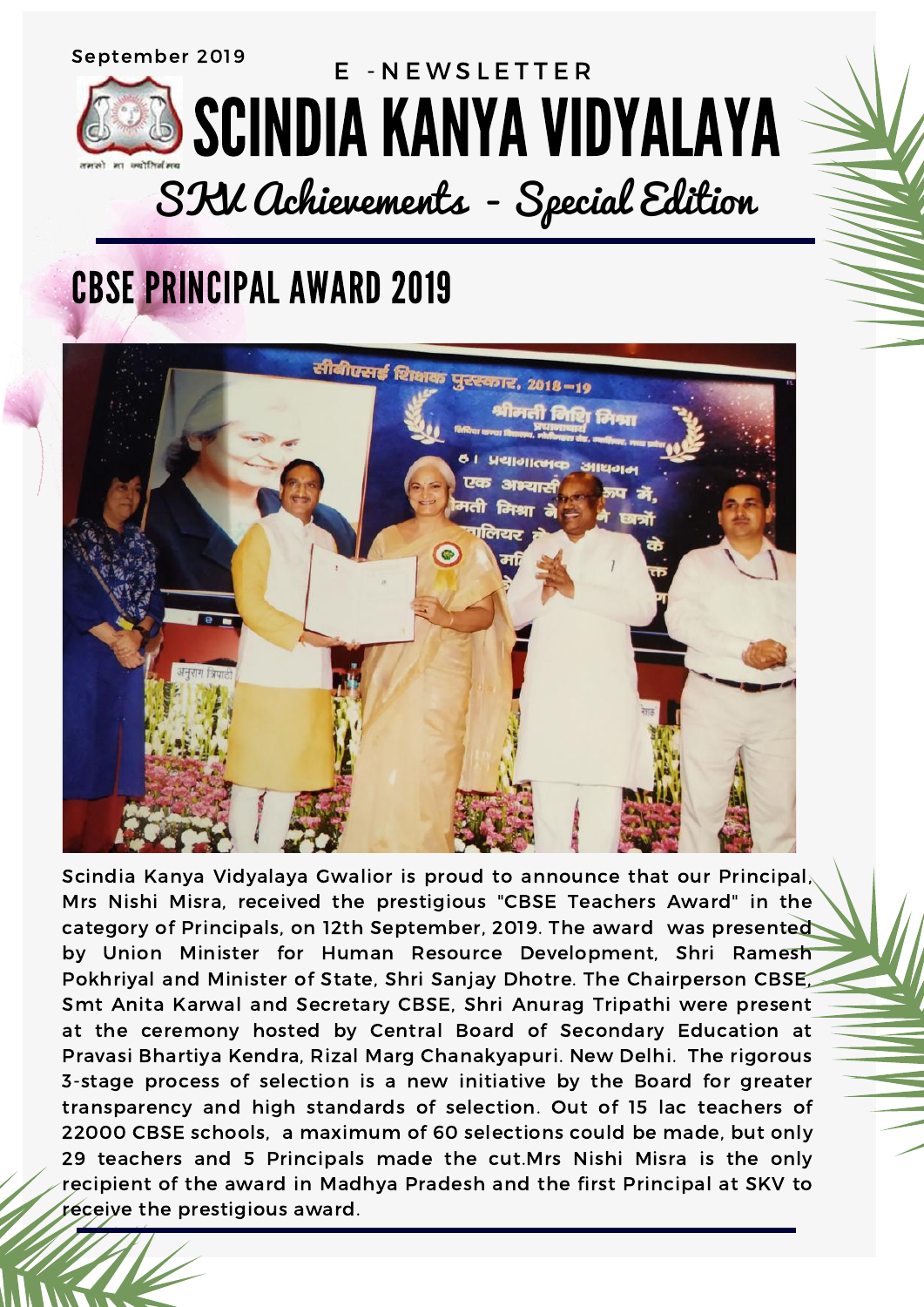## CBSE PRINCIPAL AWARD 2019



Scindia Kanya Vidyalaya Gwalior is proud to announce that our Principal, Mrs Nishi Misra, received the prestigious "CBSE Teachers Award" in the category of Principals, on 12th September, 2019. The award was presented by Union Minister for Human Resource Development, Shri Ramesh Pokhriyal and Minister of State, Shri Sanjay Dhotre. The Chairperson CBSE, Smt Anita Karwal and Secretary CBSE, Shri Anurag Tripathi were present at the ceremony hosted by Central Board of Secondary Education at Pravasi Bhartiya Kendra, Rizal Marg Chanakyapuri. New Delhi. The rigorous 3-stage process of selection is a new initiative by the Board for greater transparency and high standards of selection. Out of 15 lac teachers of 22000 CBSE schools, a maximum of 60 selections could be made, but only 29 teachers and 5 Principals made the cut.Mrs Nishi Misra is the only recipient of the award in Madhya Pradesh and the first Principal at SKV to receive the prestigious award.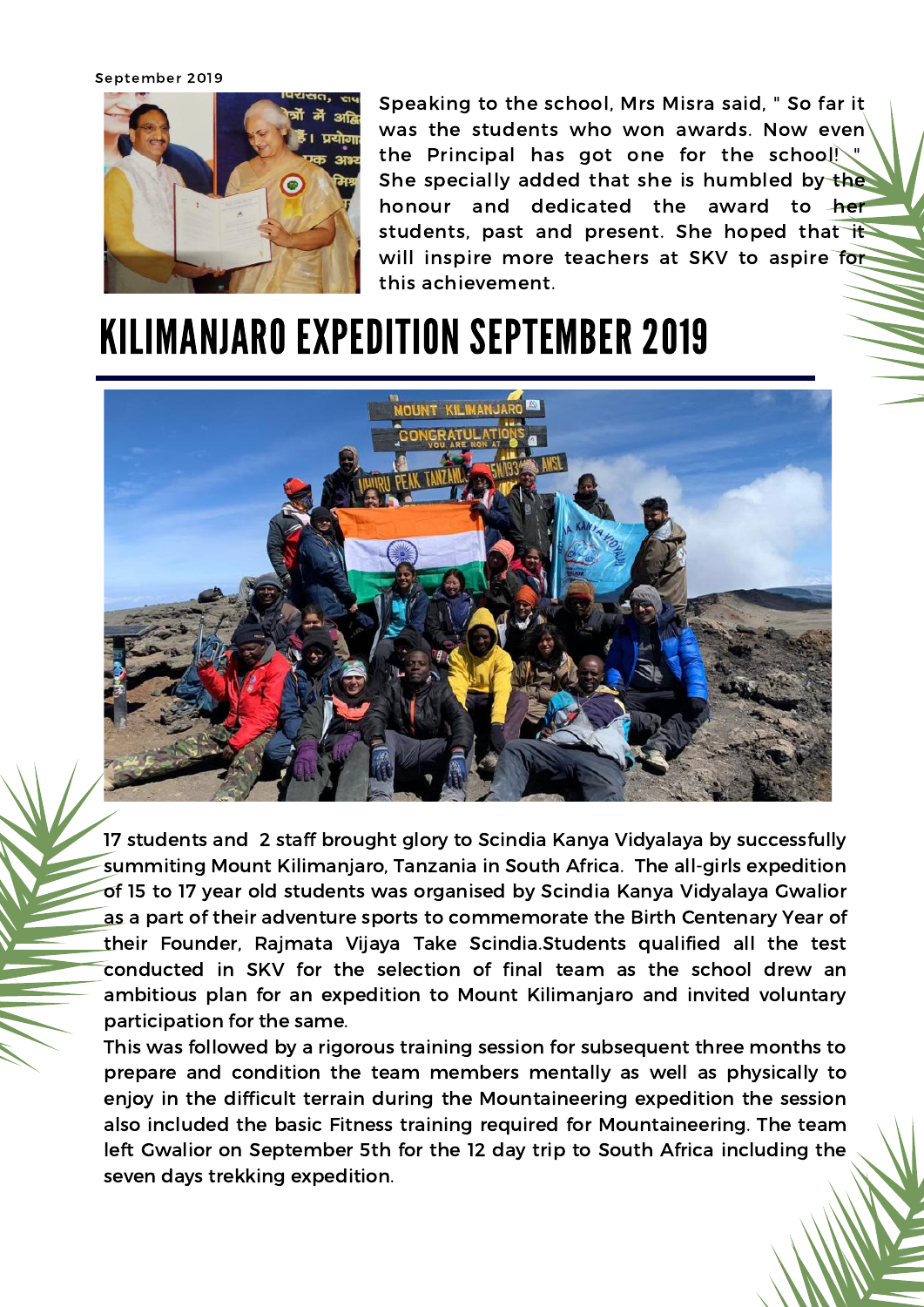September 2019



Speaking to the school, Mrs Misra said, " So far it was the students who won awards. Now even the Principal has got one for the school!\" She specially added that she is humbled by the honour and dedicated the award to her students, past and present. She hoped that it will inspire more teachers at SKV to aspire for this achievement.

## KILIMANJARO EXPEDITION SEPTEMBER 2019



17 students and 2 staff brought glory to Scindia Kanya Vidyalaya by successfully summiting Mount Kilimanjaro, Tanzania in South Africa. The all-girls expedition of 15 to 17 year old students was organised by Scindia Kanya Vidyalaya Gwalior as a part of their adventure sports to commemorate the Birth Centenary Year of their Founder, Rajmata Vijaya Take Scindia.Students qualified all the test conducted in SKV for the selection of final team as the school drew an ambitious plan for an expedition to Mount Kilimanjaro and invited voluntary participation for the same.

This was followed by a rigorous training session for subsequent three months to prepare and condition the team members mentally as well as physically to enjoy in the difficult terrain during the Mountaineering expedition the session also included the basic Fitness training required for Mountaineering. The team left Gwalior on September 5th for the 12 day trip to South Africa including the seven days trekking expedition.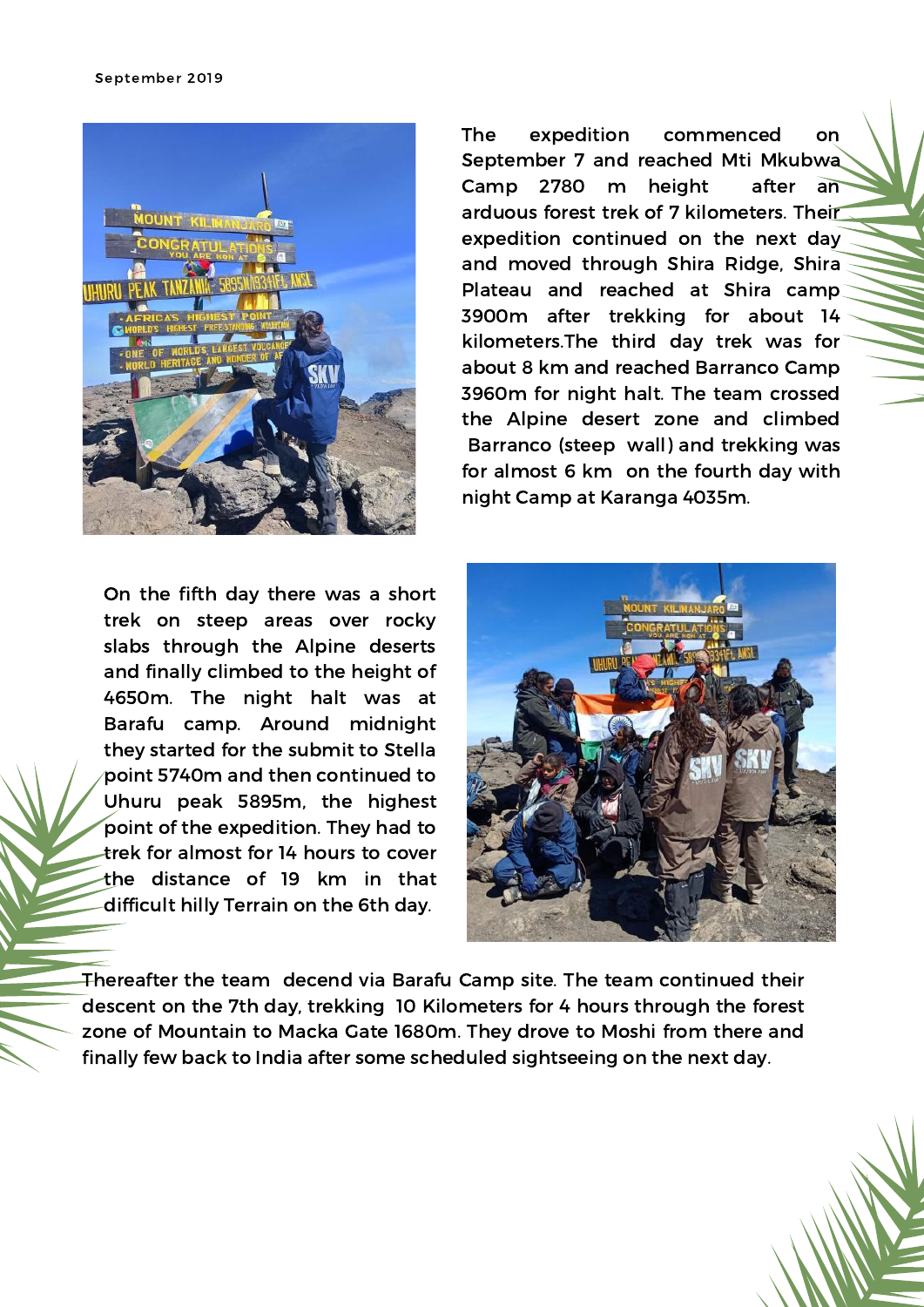

On the fifth day there was a short trek on steep areas over rocky slabs through the Alpine deserts and finally climbed to the height of 4650m. The night halt was at Barafu camp. Around midnight they started for the submit to Stella point 5740m and then continued to Uhuru peak 5895m, the highest point of the expedition. They had to trek for almost for 14 hours to cover the distance of 19 km in that difficult hilly Terrain on the 6th day.

The expedition commenced on September 7 and reached Mti Mkubwa Camp 2780 m height after an arduous forest trek of 7 kilometers. Their expedition continued on the next day and moved through Shira Ridge, Shira Plateau and reached at Shira camp 3900m after trekking for about 14 kilometers.The third day trek was for about 8 km and reached Barranco Camp 3960m for night halt. The team crossed the Alpine desert zone and climbed Barranco (steep wall) and trekking was for almost 6 km on the fourth day with night Camp at Karanga 4035m.



Thereafter the team decend via Barafu Camp site. The team continued their descent on the 7th day, trekking 10 Kilometers for 4 hours through the forest zone of Mountain to Macka Gate 1680m. They drove to Moshi from there and finally few back to India after some scheduled sightseeing on the next day.